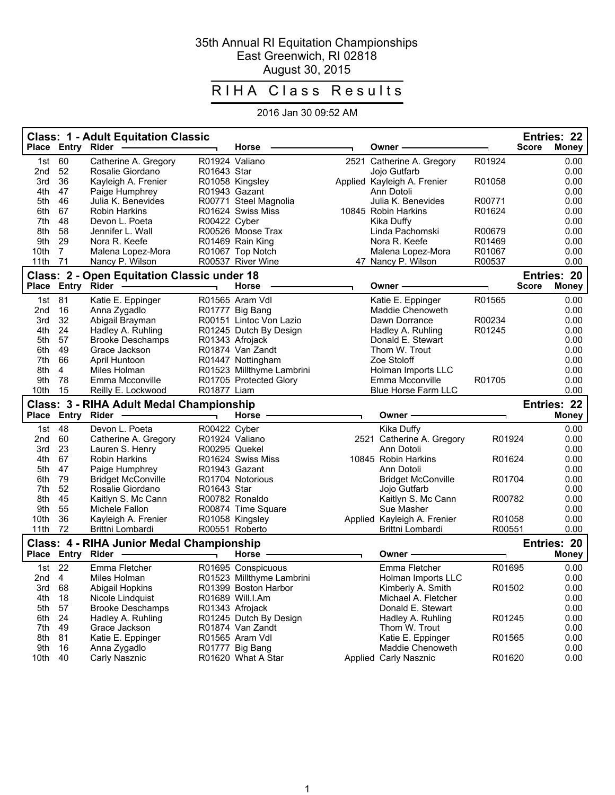## 35th Annual RI Equitation Championships East Greenwich, RI 02818 August 30, 2015

## RIHA Class Results

## 2016 Jan 30 09:52 AM

|              |                      | <b>Class: 1 - Adult Equitation Classic</b>                          |                |                                                     |                                                                                |                                                 |                  |              | Entries: 22                 |  |  |  |  |
|--------------|----------------------|---------------------------------------------------------------------|----------------|-----------------------------------------------------|--------------------------------------------------------------------------------|-------------------------------------------------|------------------|--------------|-----------------------------|--|--|--|--|
|              | Place Entry Rider    |                                                                     |                | <b>Horse</b>                                        |                                                                                | Owner -                                         |                  | <b>Score</b> | <b>Money</b>                |  |  |  |  |
| 1st          | 60                   | Catherine A. Gregory                                                | R01924 Valiano |                                                     |                                                                                | 2521 Catherine A. Gregory                       | R01924           |              | 0.00                        |  |  |  |  |
| 2nd          | 52                   | Rosalie Giordano                                                    | R01643 Star    |                                                     |                                                                                | Jojo Gutfarb                                    |                  |              | 0.00                        |  |  |  |  |
| 3rd          | 36                   | Kayleigh A. Frenier                                                 |                | R01058 Kingsley                                     |                                                                                | Applied Kayleigh A. Frenier                     | R01058           |              | 0.00                        |  |  |  |  |
| 4th          | 47                   | Paige Humphrey                                                      | R01943 Gazant  |                                                     |                                                                                | Ann Dotoli                                      |                  |              | 0.00                        |  |  |  |  |
| 5th          | 46                   | Julia K. Benevides                                                  |                | R00771 Steel Magnolia                               |                                                                                | Julia K. Benevides                              | R00771           |              | 0.00                        |  |  |  |  |
| 6th          | 67                   | <b>Robin Harkins</b>                                                |                | R01624 Swiss Miss                                   |                                                                                | 10845 Robin Harkins                             | R01624           |              | 0.00                        |  |  |  |  |
| 7th          | 48                   | Devon L. Poeta                                                      | R00422 Cyber   |                                                     |                                                                                | Kika Duffy                                      |                  |              | 0.00                        |  |  |  |  |
| 8th          | 58                   | Jennifer L. Wall                                                    |                | R00526 Moose Trax                                   |                                                                                | Linda Pachomski                                 | R00679           |              | 0.00                        |  |  |  |  |
| 9th          | 29                   | Nora R. Keefe                                                       |                | R01469 Rain King                                    |                                                                                | Nora R. Keefe                                   | R01469           |              | 0.00<br>0.00                |  |  |  |  |
| 10th         | $\overline{7}$<br>71 | Malena Lopez-Mora                                                   |                | R01067 Top Notch<br>R00537 River Wine               |                                                                                | Malena Lopez-Mora<br>47 Nancy P. Wilson         | R01067           |              | 0.00                        |  |  |  |  |
| 11th         |                      | Nancy P. Wilson                                                     |                |                                                     |                                                                                |                                                 | R00537           |              |                             |  |  |  |  |
| <b>Place</b> |                      | <b>Class: 2 - Open Equitation Classic under 18</b><br>Entry Rider - |                | <b>Horse</b>                                        |                                                                                | Owner -                                         |                  | <b>Score</b> | Entries: 20<br><b>Money</b> |  |  |  |  |
|              |                      |                                                                     |                |                                                     |                                                                                |                                                 |                  |              |                             |  |  |  |  |
| 1st          | 81                   | Katie E. Eppinger                                                   |                | R01565 Aram Vdl                                     |                                                                                | Katie E. Eppinger                               | R01565           |              | 0.00                        |  |  |  |  |
| 2nd          | 16                   | Anna Zygadlo                                                        |                | R01777 Big Bang                                     |                                                                                | Maddie Chenoweth                                |                  |              | 0.00                        |  |  |  |  |
| 3rd          | 32                   | Abigail Brayman                                                     |                | R00151 Lintoc Von Lazio                             |                                                                                | Dawn Dorrance                                   | R00234           |              | 0.00                        |  |  |  |  |
| 4th          | 24                   | Hadley A. Ruhling                                                   |                | R01245 Dutch By Design                              |                                                                                | Hadley A. Ruhling                               | R01245           |              | 0.00                        |  |  |  |  |
| 5th          | 57                   | <b>Brooke Deschamps</b>                                             |                | R01343 Afrojack                                     |                                                                                | Donald E. Stewart<br>Thom W. Trout              |                  |              | 0.00                        |  |  |  |  |
| 6th          | 49                   | Grace Jackson                                                       |                | R01874 Van Zandt                                    |                                                                                | Zoe Stoloff                                     |                  |              | 0.00<br>0.00                |  |  |  |  |
| 7th<br>8th   | 66<br>$\overline{4}$ | April Huntoon<br>Miles Holman                                       |                | R01447 Nottingham                                   |                                                                                | Holman Imports LLC                              |                  |              | 0.00                        |  |  |  |  |
| 9th          | 78                   | Emma Mcconville                                                     |                | R01523 Millthyme Lambrini<br>R01705 Protected Glory |                                                                                | Emma Mcconville                                 | R01705           |              | 0.00                        |  |  |  |  |
|              |                      |                                                                     |                |                                                     |                                                                                |                                                 |                  |              |                             |  |  |  |  |
|              |                      |                                                                     |                |                                                     | 15<br>0.00<br>10th<br>R01877 Liam<br>Blue Horse Farm LLC<br>Reilly E. Lockwood |                                                 |                  |              |                             |  |  |  |  |
|              |                      |                                                                     |                |                                                     |                                                                                |                                                 |                  |              |                             |  |  |  |  |
|              |                      | Class: 3 - RIHA Adult Medal Championship                            |                |                                                     |                                                                                |                                                 |                  |              | Entries: 22                 |  |  |  |  |
|              |                      | Place Entry Rider -                                                 |                | Horse -                                             |                                                                                | Owner -                                         |                  |              | Money                       |  |  |  |  |
| 1st          | 48                   | Devon L. Poeta                                                      | R00422 Cyber   |                                                     |                                                                                | Kika Duffy                                      |                  |              | 0.00                        |  |  |  |  |
| 2nd          | 60                   | Catherine A. Gregory                                                | R01924 Valiano |                                                     |                                                                                | 2521 Catherine A. Gregory                       | R01924           |              | 0.00                        |  |  |  |  |
| 3rd          | 23                   | Lauren S. Henry                                                     | R00295 Quekel  |                                                     |                                                                                | Ann Dotoli                                      |                  |              | 0.00                        |  |  |  |  |
| 4th          | 67                   | Robin Harkins                                                       |                | R01624 Swiss Miss                                   |                                                                                | 10845 Robin Harkins                             | R01624           |              | 0.00                        |  |  |  |  |
| 5th          | 47                   | Paige Humphrey                                                      | R01943 Gazant  |                                                     |                                                                                | Ann Dotoli                                      |                  |              | 0.00                        |  |  |  |  |
| 6th          | 79                   | <b>Bridget McConville</b>                                           |                | R01704 Notorious                                    |                                                                                | <b>Bridget McConville</b>                       | R01704           |              | 0.00                        |  |  |  |  |
| 7th          | 52                   | Rosalie Giordano                                                    | R01643 Star    |                                                     |                                                                                | Jojo Gutfarb                                    |                  |              | 0.00                        |  |  |  |  |
| 8th          | 45                   | Kaitlyn S. Mc Cann                                                  |                | R00782 Ronaldo                                      |                                                                                | Kaitlyn S. Mc Cann                              | R00782           |              | 0.00                        |  |  |  |  |
| 9th          | 55                   | Michele Fallon                                                      |                | R00874 Time Square                                  |                                                                                | Sue Masher                                      |                  |              | 0.00                        |  |  |  |  |
| 10th<br>11th | 36<br>72             | Kayleigh A. Frenier<br>Brittni Lombardi                             |                | R01058 Kingsley<br>R00551 Roberto                   |                                                                                | Applied Kayleigh A. Frenier<br>Brittni Lombardi | R01058<br>R00551 |              | 0.00<br>0.00                |  |  |  |  |
|              |                      |                                                                     |                |                                                     |                                                                                |                                                 |                  |              |                             |  |  |  |  |
| <b>Place</b> |                      | Class: 4 - RIHA Junior Medal Championship<br>Entry Rider            |                | <b>Horse</b>                                        |                                                                                | Owner                                           |                  |              | Entries: 20<br><b>Money</b> |  |  |  |  |
|              |                      |                                                                     |                |                                                     |                                                                                |                                                 |                  |              |                             |  |  |  |  |
| 1st<br>2nd - | 22<br>4              | Emma Fletcher<br>Miles Holman                                       |                | R01695 Conspicuous                                  |                                                                                | Emma Fletcher                                   | R01695           |              | 0.00                        |  |  |  |  |
| 3rd          |                      |                                                                     |                | R01523 Millthyme Lambrini                           |                                                                                | Holman Imports LLC                              |                  |              | 0.00                        |  |  |  |  |
| 4th          | 68<br>18             | Abigail Hopkins                                                     |                | R01399 Boston Harbor<br>R01689 Will.I.Am            |                                                                                | Kimberly A. Smith<br>Michael A. Fletcher        | R01502           |              | 0.00<br>0.00                |  |  |  |  |
| 5th          | 57                   | Nicole Lindquist<br><b>Brooke Deschamps</b>                         |                |                                                     |                                                                                | Donald E. Stewart                               |                  |              | 0.00                        |  |  |  |  |
| 6th          | 24                   | Hadley A. Ruhling                                                   |                | R01343 Afrojack<br>R01245 Dutch By Design           |                                                                                |                                                 | R01245           |              | 0.00                        |  |  |  |  |
| 7th          | 49                   | Grace Jackson                                                       |                | R01874 Van Zandt                                    |                                                                                | Hadley A. Ruhling<br>Thom W. Trout              |                  |              | 0.00                        |  |  |  |  |
| 8th          | 81                   | Katie E. Eppinger                                                   |                | R01565 Aram Vdl                                     |                                                                                | Katie E. Eppinger                               | R01565           |              | 0.00                        |  |  |  |  |
| 9th          | 16                   | Anna Zygadlo                                                        |                | R01777 Big Bang                                     |                                                                                | Maddie Chenoweth                                |                  |              | 0.00                        |  |  |  |  |
| 10th         | 40                   | Carly Nasznic                                                       |                | R01620 What A Star                                  |                                                                                | Applied Carly Nasznic                           | R01620           |              | 0.00                        |  |  |  |  |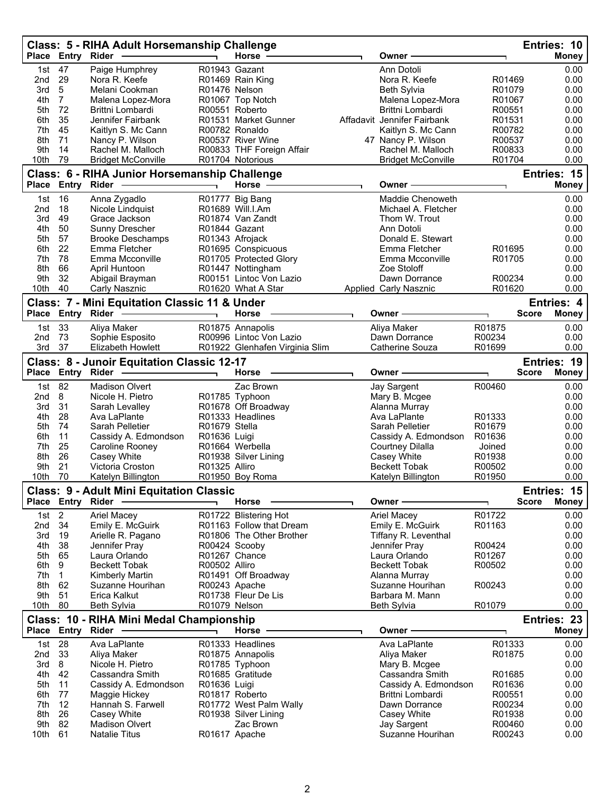|                 |                   | Class: 5 - RIHA Adult Horsemanship Challenge<br>Place Entry Rider |                               | Horse                                          | Owner                                   |                  | Entries: 10<br>Money         |
|-----------------|-------------------|-------------------------------------------------------------------|-------------------------------|------------------------------------------------|-----------------------------------------|------------------|------------------------------|
| 1st             | 47                | Paige Humphrey                                                    |                               | R01943 Gazant                                  | Ann Dotoli                              |                  | 0.00                         |
| 2 <sub>nd</sub> | 29                | Nora R. Keefe                                                     |                               | R01469 Rain King                               | Nora R. Keefe                           | R01469           | 0.00                         |
| 3rd             | 5                 | Melani Cookman                                                    | R01476 Nelson                 |                                                | <b>Beth Sylvia</b>                      | R01079           | 0.00                         |
| 4th             | $\overline{7}$    | Malena Lopez-Mora                                                 |                               | R01067 Top Notch                               | Malena Lopez-Mora                       | R01067           | 0.00                         |
| 5th             | 72                | Brittni Lombardi                                                  |                               | R00551 Roberto                                 | Brittni Lombardi                        | R00551           | 0.00                         |
| 6th             | 35                | Jennifer Fairbank                                                 |                               | R01531 Market Gunner                           | Affadavit Jennifer Fairbank             | R01531           | 0.00                         |
| 7th             | 45                | Kaitlyn S. Mc Cann                                                |                               | R00782 Ronaldo                                 | Kaitlyn S. Mc Cann                      | R00782           | 0.00                         |
| 8th<br>9th      | 71<br>14          | Nancy P. Wilson<br>Rachel M. Malloch                              |                               | R00537 River Wine<br>R00833 THF Foreign Affair | 47 Nancy P. Wilson<br>Rachel M. Malloch | R00537<br>R00833 | 0.00<br>0.00                 |
| 10th            | 79                | <b>Bridget McConville</b>                                         |                               | R01704 Notorious                               | <b>Bridget McConville</b>               | R01704           | 0.00                         |
|                 |                   | Class: 6 - RIHA Junior Horsemanship Challenge                     |                               |                                                |                                         |                  | Entries: 15                  |
|                 | Place Entry Rider |                                                                   |                               | Horse -                                        | Owner -                                 |                  | <b>Money</b>                 |
| 1st             | 16                | Anna Zygadlo                                                      |                               | R01777 Big Bang                                | Maddie Chenoweth                        |                  | 0.00                         |
| 2nd             | 18                | Nicole Lindquist                                                  |                               | R01689 Will.I.Am                               | Michael A. Fletcher                     |                  | 0.00                         |
| 3rd             | 49                | Grace Jackson                                                     |                               | R01874 Van Zandt                               | Thom W. Trout                           |                  | 0.00                         |
| 4th             | 50<br>57          | Sunny Drescher                                                    |                               | R01844 Gazant                                  | Ann Dotoli                              |                  | 0.00                         |
| 5th<br>6th      | 22                | <b>Brooke Deschamps</b><br>Emma Fletcher                          |                               | R01343 Afrojack<br>R01695 Conspicuous          | Donald E. Stewart<br>Emma Fletcher      | R01695           | 0.00<br>0.00                 |
| 7th             | 78                | Emma Mcconville                                                   |                               | R01705 Protected Glory                         | Emma Mcconville                         | R01705           | 0.00                         |
| 8th             | 66                | April Huntoon                                                     |                               | R01447 Nottingham                              | Zoe Stoloff                             |                  | 0.00                         |
| 9th             | 32                | Abigail Brayman                                                   |                               | R00151 Lintoc Von Lazio                        | Dawn Dorrance                           | R00234           | 0.00                         |
| 10th            | 40                | Carly Nasznic                                                     |                               | R01620 What A Star                             | Applied Carly Nasznic                   | R01620           | 0.00                         |
|                 |                   | <b>Class: 7 - Mini Equitation Classic 11 &amp; Under</b>          |                               |                                                |                                         |                  | <b>Entries: 4</b>            |
| <b>Place</b>    | Entry Rider       |                                                                   |                               | <b>Horse</b>                                   | Owner                                   |                  | <b>Score</b><br><b>Money</b> |
| 1st             | 33                | Aliya Maker                                                       |                               | R01875 Annapolis                               | Aliya Maker                             | R01875           | 0.00                         |
| 2nd             | 73                | Sophie Esposito                                                   |                               | R00996 Lintoc Von Lazio                        | Dawn Dorrance                           | R00234           | 0.00                         |
| 3rd             | 37                | Elizabeth Howlett                                                 |                               | R01922 Glenhafen Virginia Slim                 | Catherine Souza                         | R01699           | 0.00                         |
|                 |                   | Class: 8 - Junoir Equitation Classic 12-17                        |                               |                                                |                                         |                  | Entries: 19                  |
| Place           | Entry Rider       |                                                                   |                               | Horse                                          | Owner -                                 |                  | <b>Score</b><br><b>Money</b> |
| 1st             | 82                | Madison Olvert                                                    |                               | Zac Brown                                      | Jay Sargent                             | R00460           | 0.00                         |
| 2 <sub>nd</sub> | 8                 | Nicole H. Pietro                                                  |                               | R01785 Typhoon                                 | Mary B. Mcgee                           |                  | 0.00                         |
| 3rd             | 31                | Sarah Levalley                                                    |                               | R01678 Off Broadway                            | Alanna Murray                           |                  | 0.00                         |
| 4th             | 28                | Ava LaPlante                                                      |                               | R01333 Headlines                               | Ava LaPlante                            | R01333           | 0.00                         |
| 5th<br>6th      | 74<br>11          | Sarah Pelletier<br>Cassidy A. Edmondson                           | R01679 Stella<br>R01636 Luigi |                                                | Sarah Pelletier<br>Cassidy A. Edmondson | R01679<br>R01636 | 0.00<br>0.00                 |
| 7th             | 25                | Caroline Rooney                                                   |                               | R01664 Werbella                                | <b>Courtney Dilalla</b>                 | Joined           | 0.00                         |
| 8th             | 26                | Casey White                                                       |                               | R01938 Silver Lining                           | Casey White                             | R01938           | 0.00                         |
| 9th             | 21                | Victoria Croston                                                  | R01325 Alliro                 |                                                | <b>Beckett Tobak</b>                    | R00502           | 0.00                         |
| 10th            | 70                | Katelyn Billington                                                |                               | R01950 Boy Roma                                | Katelyn Billington                      | R01950           | 0.00                         |
|                 |                   | <b>Class: 9 - Adult Mini Equitation Classic</b>                   |                               |                                                |                                         |                  | Entries: 15                  |
|                 | Place Entry Rider |                                                                   |                               | Horse                                          | Owner                                   |                  | <b>Score</b><br><b>Money</b> |
| 1st             | 2                 | Ariel Macey                                                       |                               | R01722 Blistering Hot                          | <b>Ariel Macey</b>                      | R01722           | 0.00                         |
| 2nd             | 34                | Emily E. McGuirk                                                  |                               | R01163 Follow that Dream                       | Emily E. McGuirk                        | R01163           | 0.00                         |
| 3rd             | 19                | Arielle R. Pagano                                                 |                               | R01806 The Other Brother                       | Tiffany R. Leventhal                    |                  | 0.00                         |
| 4th             | 38                | Jennifer Pray                                                     |                               | R00424 Scooby                                  | Jennifer Pray                           | R00424           | 0.00                         |
| 5th             | 65                | Laura Orlando                                                     |                               | R01267 Chance                                  | Laura Orlando                           | R01267           | 0.00                         |
| 6th<br>7th      | 9<br>$\mathbf{1}$ | <b>Beckett Tobak</b><br><b>Kimberly Martin</b>                    | R00502 Alliro                 | R01491 Off Broadway                            | <b>Beckett Tobak</b><br>Alanna Murray   | R00502           | 0.00<br>0.00                 |
| 8th             | 62                | Suzanne Hourihan                                                  |                               | R00243 Apache                                  | Suzanne Hourihan                        | R00243           | 0.00                         |
| 9th             | 51                | Erica Kalkut                                                      |                               | R01738 Fleur De Lis                            | Barbara M. Mann                         |                  | 0.00                         |
| 10th            | 80                | <b>Beth Sylvia</b>                                                | R01079 Nelson                 |                                                | <b>Beth Sylvia</b>                      | R01079           | 0.00                         |
|                 |                   | Class: 10 - RIHA Mini Medal Championship                          |                               |                                                |                                         |                  | Entries: 23                  |
| <b>Place</b>    | Entry Rider       |                                                                   |                               | Horse                                          | <b>Owner</b>                            |                  | <b>Money</b>                 |
| 1st             | 28                | Ava LaPlante                                                      |                               | R01333 Headlines                               | Ava LaPlante                            | R01333           | 0.00                         |
| 2 <sub>nd</sub> | 33                | Aliya Maker                                                       |                               | R01875 Annapolis                               | Aliya Maker                             | R01875           | 0.00                         |
| 3rd             | 8                 | Nicole H. Pietro                                                  |                               | R01785 Typhoon                                 | Mary B. Mcgee                           |                  | 0.00                         |
| 4th             | 42                | Cassandra Smith                                                   |                               | R01685 Gratitude                               | Cassandra Smith                         | R01685           | 0.00                         |
| 5th             | 11                | Cassidy A. Edmondson                                              | R01636 Luigi                  |                                                | Cassidy A. Edmondson                    | R01636           | 0.00                         |
| 6th<br>7th      | 77<br>12          | Maggie Hickey<br>Hannah S. Farwell                                |                               | R01817 Roberto                                 | Brittni Lombardi<br>Dawn Dorrance       | R00551<br>R00234 | 0.00<br>0.00                 |
| 8th             | 26                | Casey White                                                       |                               | R01772 West Palm Wally<br>R01938 Silver Lining | Casey White                             | R01938           | 0.00                         |
| 9th             | 82                | <b>Madison Olvert</b>                                             |                               | Zac Brown                                      | Jay Sargent                             | R00460           | 0.00                         |
| 10th            | 61                | <b>Natalie Titus</b>                                              |                               | R01617 Apache                                  | Suzanne Hourihan                        | R00243           | 0.00                         |
|                 |                   |                                                                   |                               |                                                |                                         |                  |                              |